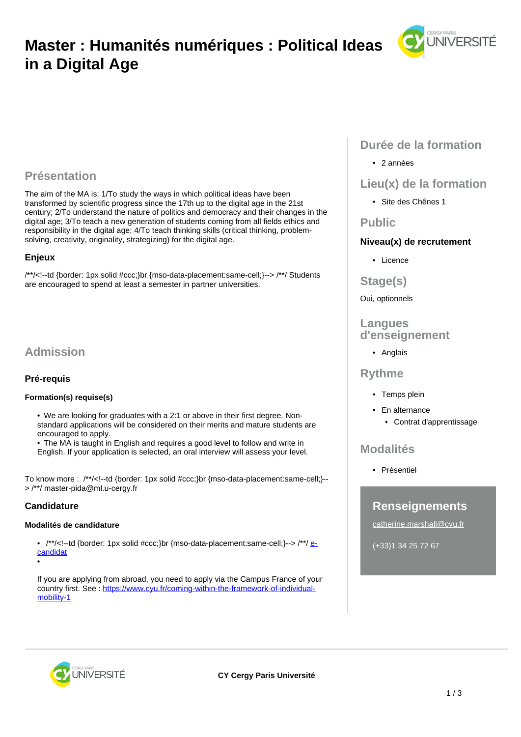# **Master : Humanités numériques : Political Ideas in a Digital Age**



# **Présentation**

The aim of the MA is: 1/To study the ways in which political ideas have been transformed by scientific progress since the 17th up to the digital age in the 21st century; 2/To understand the nature of politics and democracy and their changes in the digital age; 3/To teach a new generation of students coming from all fields ethics and responsibility in the digital age; 4/To teach thinking skills (critical thinking, problemsolving, creativity, originality, strategizing) for the digital age.

## **Enjeux**

/\*\*/<!--td {border: 1px solid #ccc;}br {mso-data-placement:same-cell;}--> /\*\*/ Students are encouraged to spend at least a semester in partner universities.

# **Admission**

# **Pré-requis**

### **Formation(s) requise(s)**

• We are looking for graduates with a 2:1 or above in their first degree. Nonstandard applications will be considered on their merits and mature students are encouraged to apply.

• The MA is taught in English and requires a good level to follow and write in

English. If your application is selected, an oral interview will assess your level.

To know more : /\*\*/<!--td {border: 1px solid #ccc;}br {mso-data-placement:same-cell;}-- > /\*\*/ master-pida@ml.u-cergy.fr

# **Candidature**

•

### **Modalités de candidature**

•  $/*$  /<!-td {border: 1px solid #ccc;}br {mso-data-placement:same-cell;}--> /\*\*/  $e$ [candidat](https://ecandidat.cyu.fr/#!accueilView)

If you are applying from abroad, you need to apply via the Campus France of your country first. See: [https://www.cyu.fr/coming-within-the-framework-of-individual](https://www.cyu.fr/coming-within-the-framework-of-individual-mobility-1)[mobility-1](https://www.cyu.fr/coming-within-the-framework-of-individual-mobility-1)

# **Durée de la formation**

• 2 années

# **Lieu(x) de la formation**

• Site des Chênes 1

# **Public**

# **Niveau(x) de recrutement**

- Licence
- **Stage(s)**

### Oui, optionnels

## **Langues d'enseignement**

• Anglais

# **Rythme**

- Temps plein
- En alternance
	- Contrat d'apprentissage

# **Modalités**

• Présentiel

# **Renseignements**

catherine.marshall@cyu.fr

(+33)1 34 25 72 67

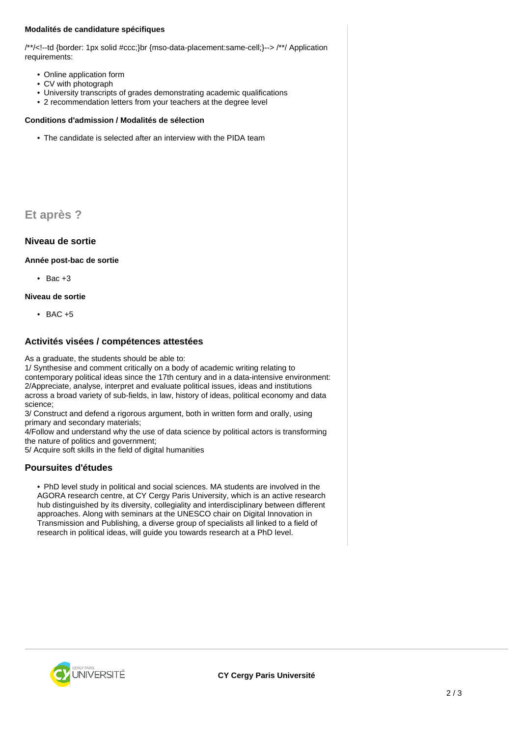#### **Modalités de candidature spécifiques**

/\*\*/<!--td {border: 1px solid #ccc;}br {mso-data-placement:same-cell;}--> /\*\*/ Application requirements:

- Online application form
- CV with photograph
- University transcripts of grades demonstrating academic qualifications
- 2 recommendation letters from your teachers at the degree level

#### **Conditions d'admission / Modalités de sélection**

• The candidate is selected after an interview with the PIDA team

**Et après ?**

## **Niveau de sortie**

**Année post-bac de sortie**

 $\bullet$  Bac  $+3$ 

**Niveau de sortie**

• BAC +5

## **Activités visées / compétences attestées**

As a graduate, the students should be able to:

1/ Synthesise and comment critically on a body of academic writing relating to contemporary political ideas since the 17th century and in a data-intensive environment: 2/Appreciate, analyse, interpret and evaluate political issues, ideas and institutions across a broad variety of sub-fields, in law, history of ideas, political economy and data science;

3/ Construct and defend a rigorous argument, both in written form and orally, using primary and secondary materials;

4/Follow and understand why the use of data science by political actors is transforming the nature of politics and government;

5/ Acquire soft skills in the field of digital humanities

### **Poursuites d'études**

• PhD level study in political and social sciences. MA students are involved in the AGORA research centre, at CY Cergy Paris University, which is an active research hub distinguished by its diversity, collegiality and interdisciplinary between different approaches. Along with seminars at the UNESCO chair on Digital Innovation in Transmission and Publishing, a diverse group of specialists all linked to a field of research in political ideas, will guide you towards research at a PhD level.